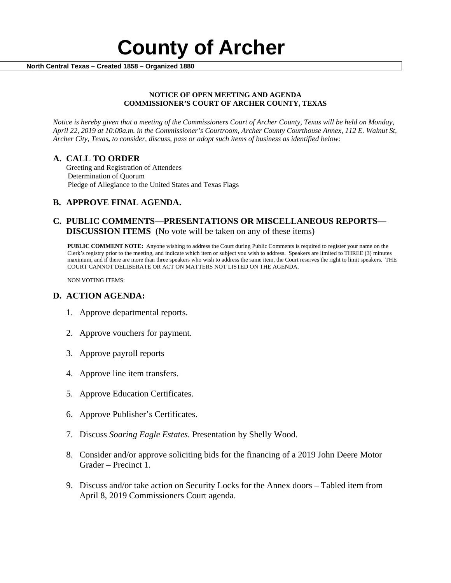

#### **NOTICE OF OPEN MEETING AND AGENDA COMMISSIONER'S COURT OF ARCHER COUNTY, TEXAS**

*Notice is hereby given that a meeting of the Commissioners Court of Archer County, Texas will be held on Monday, April 22, 2019 at 10:00a.m. in the Commissioner's Courtroom, Archer County Courthouse Annex, 112 E. Walnut St, Archer City, Texas, to consider, discuss, pass or adopt such items of business as identified below:*

**A. CALL TO ORDER** Greeting and Registration of Attendees Determination of Quorum Pledge of Allegiance to the United States and Texas Flags

# **B. APPROVE FINAL AGENDA.**

# **C. PUBLIC COMMENTS—PRESENTATIONS OR MISCELLANEOUS REPORTS— DISCUSSION ITEMS** (No vote will be taken on any of these items)

**PUBLIC COMMENT NOTE:** Anyone wishing to address the Court during Public Comments is required to register your name on the Clerk's registry prior to the meeting, and indicate which item or subject you wish to address. Speakers are limited to THREE (3) minutes maximum, and if there are more than three speakers who wish to address the same item, the Court reserves the right to limit speakers. THE COURT CANNOT DELIBERATE OR ACT ON MATTERS NOT LISTED ON THE AGENDA.

NON VOTING ITEMS:

### **D. ACTION AGENDA:**

- 1. Approve departmental reports.
- 2. Approve vouchers for payment.
- 3. Approve payroll reports
- 4. Approve line item transfers.
- 5. Approve Education Certificates.
- 6. Approve Publisher's Certificates.
- 7. Discuss *Soaring Eagle Estates.* Presentation by Shelly Wood.
- 8. Consider and/or approve soliciting bids for the financing of a 2019 John Deere Motor Grader – Precinct 1.
- 9. Discuss and/or take action on Security Locks for the Annex doors Tabled item from April 8, 2019 Commissioners Court agenda.